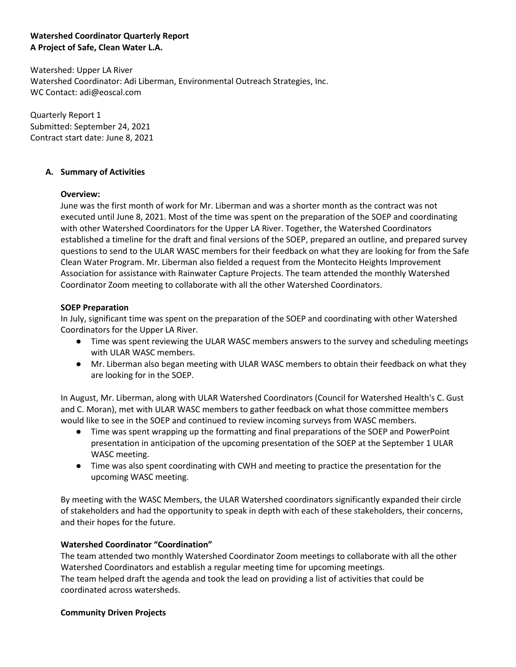## **Watershed Coordinator Quarterly Report A Project of Safe, Clean Water L.A.**

Watershed: Upper LA River Watershed Coordinator: Adi Liberman, Environmental Outreach Strategies, Inc. WC Contact: adi@eoscal.com

Quarterly Report 1 Submitted: September 24, 2021 Contract start date: June 8, 2021

## **A. Summary of Activities**

#### **Overview:**

June was the first month of work for Mr. Liberman and was a shorter month as the contract was not executed until June 8, 2021. Most of the time was spent on the preparation of the SOEP and coordinating with other Watershed Coordinators for the Upper LA River. Together, the Watershed Coordinators established a timeline for the draft and final versions of the SOEP, prepared an outline, and prepared survey questions to send to the ULAR WASC members for their feedback on what they are looking for from the Safe Clean Water Program. Mr. Liberman also fielded a request from the Montecito Heights Improvement Association for assistance with Rainwater Capture Projects. The team attended the monthly Watershed Coordinator Zoom meeting to collaborate with all the other Watershed Coordinators.

## **SOEP Preparation**

In July, significant time was spent on the preparation of the SOEP and coordinating with other Watershed Coordinators for the Upper LA River.

- Time was spent reviewing the ULAR WASC members answers to the survey and scheduling meetings with ULAR WASC members.
- Mr. Liberman also began meeting with ULAR WASC members to obtain their feedback on what they are looking for in the SOEP.

In August, Mr. Liberman, along with ULAR Watershed Coordinators (Council for Watershed Health's C. Gust and C. Moran), met with ULAR WASC members to gather feedback on what those committee members would like to see in the SOEP and continued to review incoming surveys from WASC members.

- Time was spent wrapping up the formatting and final preparations of the SOEP and PowerPoint presentation in anticipation of the upcoming presentation of the SOEP at the September 1 ULAR WASC meeting.
- Time was also spent coordinating with CWH and meeting to practice the presentation for the upcoming WASC meeting.

By meeting with the WASC Members, the ULAR Watershed coordinators significantly expanded their circle of stakeholders and had the opportunity to speak in depth with each of these stakeholders, their concerns, and their hopes for the future.

# **Watershed Coordinator "Coordination"**

The team attended two monthly Watershed Coordinator Zoom meetings to collaborate with all the other Watershed Coordinators and establish a regular meeting time for upcoming meetings. The team helped draft the agenda and took the lead on providing a list of activities that could be coordinated across watersheds.

#### **Community Driven Projects**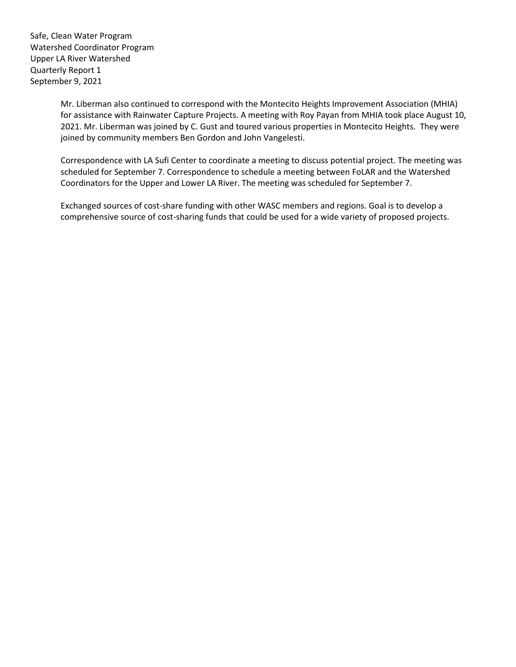> Mr. Liberman also continued to correspond with the Montecito Heights Improvement Association (MHIA) for assistance with Rainwater Capture Projects. A meeting with Roy Payan from MHIA took place August 10, 2021. Mr. Liberman was joined by C. Gust and toured various properties in Montecito Heights. They were joined by community members Ben Gordon and John Vangelesti.

> Correspondence with LA Sufi Center to coordinate a meeting to discuss potential project. The meeting was scheduled for September 7. Correspondence to schedule a meeting between FoLAR and the Watershed Coordinators for the Upper and Lower LA River. The meeting was scheduled for September 7.

Exchanged sources of cost-share funding with other WASC members and regions. Goal is to develop a comprehensive source of cost-sharing funds that could be used for a wide variety of proposed projects.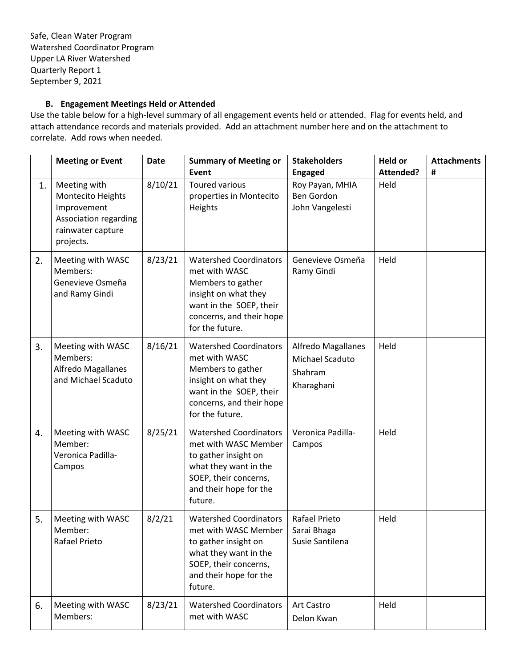# **B. Engagement Meetings Held or Attended**

Use the table below for a high-level summary of all engagement events held or attended. Flag for events held, and attach attendance records and materials provided. Add an attachment number here and on the attachment to correlate. Add rows when needed.

|    | <b>Meeting or Event</b>                                                                                     | <b>Date</b> | <b>Summary of Meeting or</b><br>Event                                                                                                                                 | <b>Stakeholders</b><br><b>Engaged</b>                          | <b>Held or</b><br>Attended? | <b>Attachments</b><br># |
|----|-------------------------------------------------------------------------------------------------------------|-------------|-----------------------------------------------------------------------------------------------------------------------------------------------------------------------|----------------------------------------------------------------|-----------------------------|-------------------------|
| 1. | Meeting with<br>Montecito Heights<br>Improvement<br>Association regarding<br>rainwater capture<br>projects. | 8/10/21     | <b>Toured various</b><br>properties in Montecito<br>Heights                                                                                                           | Roy Payan, MHIA<br><b>Ben Gordon</b><br>John Vangelesti        | Held                        |                         |
| 2. | Meeting with WASC<br>Members:<br>Genevieve Osmeña<br>and Ramy Gindi                                         | 8/23/21     | <b>Watershed Coordinators</b><br>met with WASC<br>Members to gather<br>insight on what they<br>want in the SOEP, their<br>concerns, and their hope<br>for the future. | Genevieve Osmeña<br>Ramy Gindi                                 | Held                        |                         |
| 3. | Meeting with WASC<br>Members:<br><b>Alfredo Magallanes</b><br>and Michael Scaduto                           | 8/16/21     | <b>Watershed Coordinators</b><br>met with WASC<br>Members to gather<br>insight on what they<br>want in the SOEP, their<br>concerns, and their hope<br>for the future. | Alfredo Magallanes<br>Michael Scaduto<br>Shahram<br>Kharaghani | Held                        |                         |
| 4. | Meeting with WASC<br>Member:<br>Veronica Padilla-<br>Campos                                                 | 8/25/21     | <b>Watershed Coordinators</b><br>met with WASC Member<br>to gather insight on<br>what they want in the<br>SOEP, their concerns,<br>and their hope for the<br>future.  | Veronica Padilla-<br>Campos                                    | Held                        |                         |
| 5. | Meeting with WASC<br>Member:<br>Rafael Prieto                                                               | 8/2/21      | <b>Watershed Coordinators</b><br>met with WASC Member<br>to gather insight on<br>what they want in the<br>SOEP, their concerns,<br>and their hope for the<br>future.  | Rafael Prieto<br>Sarai Bhaga<br>Susie Santilena                | Held                        |                         |
| 6. | Meeting with WASC<br>Members:                                                                               | 8/23/21     | <b>Watershed Coordinators</b><br>met with WASC                                                                                                                        | Art Castro<br>Delon Kwan                                       | Held                        |                         |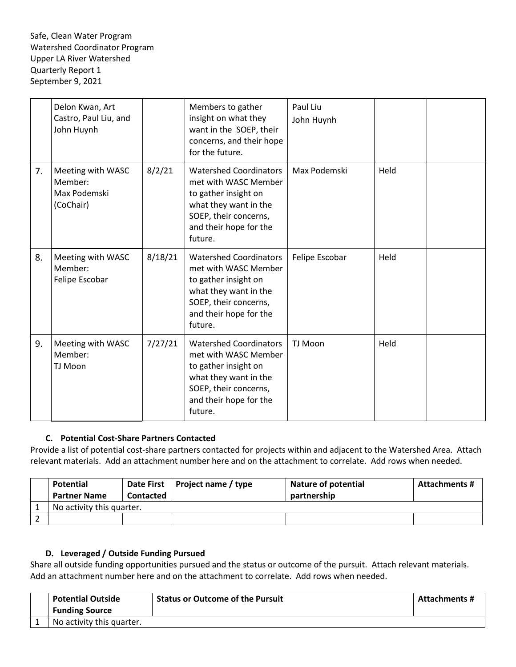|    | Delon Kwan, Art<br>Castro, Paul Liu, and<br>John Huynh    |         | Members to gather<br>insight on what they<br>want in the SOEP, their<br>concerns, and their hope<br>for the future.                                                  | Paul Liu<br>John Huynh |      |  |
|----|-----------------------------------------------------------|---------|----------------------------------------------------------------------------------------------------------------------------------------------------------------------|------------------------|------|--|
| 7. | Meeting with WASC<br>Member:<br>Max Podemski<br>(CoChair) | 8/2/21  | <b>Watershed Coordinators</b><br>met with WASC Member<br>to gather insight on<br>what they want in the<br>SOEP, their concerns,<br>and their hope for the<br>future. | Max Podemski           | Held |  |
| 8. | Meeting with WASC<br>Member:<br>Felipe Escobar            | 8/18/21 | <b>Watershed Coordinators</b><br>met with WASC Member<br>to gather insight on<br>what they want in the<br>SOEP, their concerns,<br>and their hope for the<br>future. | Felipe Escobar         | Held |  |
| 9. | Meeting with WASC<br>Member:<br>TJ Moon                   | 7/27/21 | <b>Watershed Coordinators</b><br>met with WASC Member<br>to gather insight on<br>what they want in the<br>SOEP, their concerns,<br>and their hope for the<br>future. | TJ Moon                | Held |  |

# **C. Potential Cost-Share Partners Contacted**

Provide a list of potential cost-share partners contacted for projects within and adjacent to the Watershed Area. Attach relevant materials. Add an attachment number here and on the attachment to correlate. Add rows when needed.

| Potential                 |           | Date First   Project name / type | <b>Nature of potential</b> | Attachments # |
|---------------------------|-----------|----------------------------------|----------------------------|---------------|
| <b>Partner Name</b>       | Contacted |                                  | partnership                |               |
| No activity this quarter. |           |                                  |                            |               |
|                           |           |                                  |                            |               |

# **D. Leveraged / Outside Funding Pursued**

Share all outside funding opportunities pursued and the status or outcome of the pursuit. Attach relevant materials. Add an attachment number here and on the attachment to correlate. Add rows when needed.

| <b>Potential Outside</b>  | <b>Status or Outcome of the Pursuit</b> | <b>Attachments #</b> |
|---------------------------|-----------------------------------------|----------------------|
| <b>Funding Source</b>     |                                         |                      |
| No activity this quarter. |                                         |                      |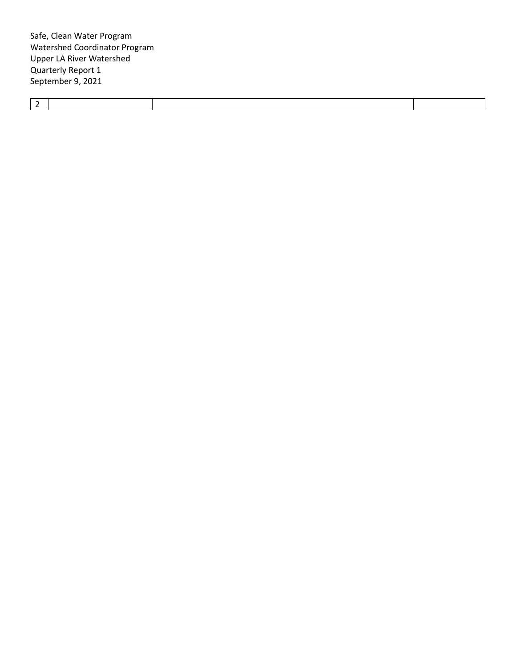|--|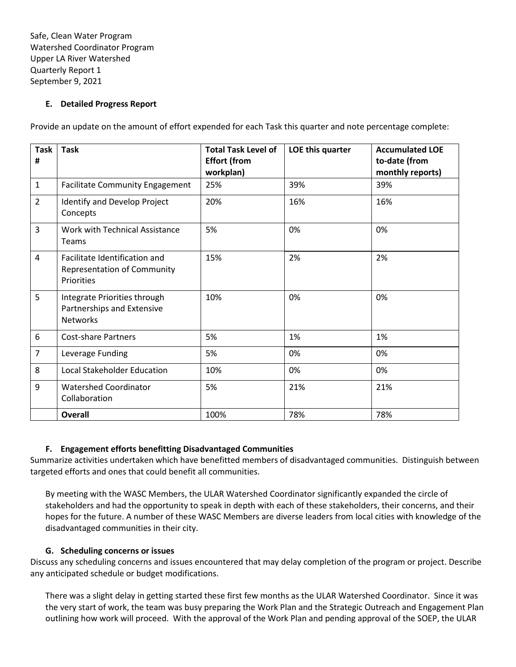#### **E. Detailed Progress Report**

Provide an update on the amount of effort expended for each Task this quarter and note percentage complete:

| <b>Task</b><br># | <b>Task</b>                                                                   | <b>Total Task Level of</b><br><b>Effort (from</b> | LOE this quarter | <b>Accumulated LOE</b><br>to-date (from |
|------------------|-------------------------------------------------------------------------------|---------------------------------------------------|------------------|-----------------------------------------|
|                  |                                                                               | workplan)                                         |                  | monthly reports)                        |
| $\mathbf{1}$     | <b>Facilitate Community Engagement</b>                                        | 25%                                               | 39%              | 39%                                     |
| $\overline{2}$   | Identify and Develop Project<br>Concepts                                      | 20%                                               | 16%              | 16%                                     |
| 3                | Work with Technical Assistance<br>Teams                                       | 5%                                                | 0%               | 0%                                      |
| $\overline{4}$   | Facilitate Identification and<br>Representation of Community<br>Priorities    | 15%                                               | 2%               | 2%                                      |
| 5                | Integrate Priorities through<br>Partnerships and Extensive<br><b>Networks</b> | 10%                                               | 0%               | 0%                                      |
| 6                | <b>Cost-share Partners</b>                                                    | 5%                                                | 1%               | 1%                                      |
| $\overline{7}$   | Leverage Funding                                                              | 5%                                                | 0%               | 0%                                      |
| 8                | <b>Local Stakeholder Education</b>                                            | 10%                                               | 0%               | 0%                                      |
| 9                | <b>Watershed Coordinator</b><br>Collaboration                                 | 5%                                                | 21%              | 21%                                     |
|                  | Overall                                                                       | 100%                                              | 78%              | 78%                                     |

# **F. Engagement efforts benefitting Disadvantaged Communities**

Summarize activities undertaken which have benefitted members of disadvantaged communities. Distinguish between targeted efforts and ones that could benefit all communities.

By meeting with the WASC Members, the ULAR Watershed Coordinator significantly expanded the circle of stakeholders and had the opportunity to speak in depth with each of these stakeholders, their concerns, and their hopes for the future. A number of these WASC Members are diverse leaders from local cities with knowledge of the disadvantaged communities in their city.

# **G. Scheduling concerns or issues**

Discuss any scheduling concerns and issues encountered that may delay completion of the program or project. Describe any anticipated schedule or budget modifications.

There was a slight delay in getting started these first few months as the ULAR Watershed Coordinator. Since it was the very start of work, the team was busy preparing the Work Plan and the Strategic Outreach and Engagement Plan outlining how work will proceed. With the approval of the Work Plan and pending approval of the SOEP, the ULAR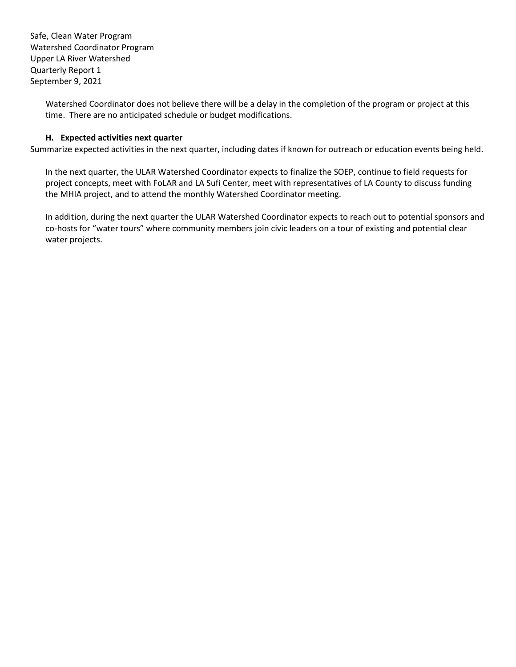> Watershed Coordinator does not believe there will be a delay in the completion of the program or project at this time. There are no anticipated schedule or budget modifications.

## **H. Expected activities next quarter**

Summarize expected activities in the next quarter, including dates if known for outreach or education events being held.

In the next quarter, the ULAR Watershed Coordinator expects to finalize the SOEP, continue to field requests for project concepts, meet with FoLAR and LA Sufi Center, meet with representatives of LA County to discuss funding the MHIA project, and to attend the monthly Watershed Coordinator meeting.

In addition, during the next quarter the ULAR Watershed Coordinator expects to reach out to potential sponsors and co-hosts for "water tours" where community members join civic leaders on a tour of existing and potential clear water projects.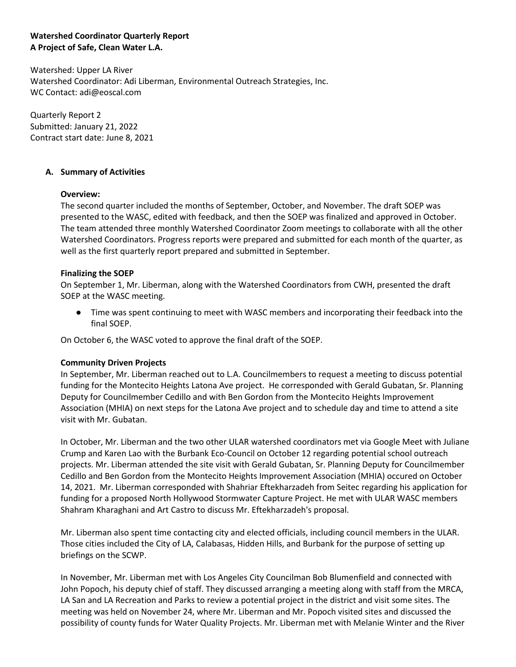## **Watershed Coordinator Quarterly Report A Project of Safe, Clean Water L.A.**

Watershed: Upper LA River Watershed Coordinator: Adi Liberman, Environmental Outreach Strategies, Inc. WC Contact: adi@eoscal.com

Quarterly Report 2 Submitted: January 21, 2022 Contract start date: June 8, 2021

## **A. Summary of Activities**

## **Overview:**

The second quarter included the months of September, October, and November. The draft SOEP was presented to the WASC, edited with feedback, and then the SOEP was finalized and approved in October. The team attended three monthly Watershed Coordinator Zoom meetings to collaborate with all the other Watershed Coordinators. Progress reports were prepared and submitted for each month of the quarter, as well as the first quarterly report prepared and submitted in September.

#### **Finalizing the SOEP**

On September 1, Mr. Liberman, along with the Watershed Coordinators from CWH, presented the draft SOEP at the WASC meeting.

● Time was spent continuing to meet with WASC members and incorporating their feedback into the final SOEP.

On October 6, the WASC voted to approve the final draft of the SOEP.

#### **Community Driven Projects**

In September, Mr. Liberman reached out to L.A. Councilmembers to request a meeting to discuss potential funding for the Montecito Heights Latona Ave project. He corresponded with Gerald Gubatan, Sr. Planning Deputy for Councilmember Cedillo and with Ben Gordon from the Montecito Heights Improvement Association (MHIA) on next steps for the Latona Ave project and to schedule day and time to attend a site visit with Mr. Gubatan.

In October, Mr. Liberman and the two other ULAR watershed coordinators met via Google Meet with Juliane Crump and Karen Lao with the Burbank Eco-Council on October 12 regarding potential school outreach projects. Mr. Liberman attended the site visit with Gerald Gubatan, Sr. Planning Deputy for Councilmember Cedillo and Ben Gordon from the Montecito Heights Improvement Association (MHIA) occured on October 14, 2021. Mr. Liberman corresponded with Shahriar Eftekharzadeh from Seitec regarding his application for funding for a proposed North Hollywood Stormwater Capture Project. He met with ULAR WASC members Shahram Kharaghani and Art Castro to discuss Mr. Eftekharzadeh's proposal.

Mr. Liberman also spent time contacting city and elected officials, including council members in the ULAR. Those cities included the City of LA, Calabasas, Hidden Hills, and Burbank for the purpose of setting up briefings on the SCWP.

In November, Mr. Liberman met with Los Angeles City Councilman Bob Blumenfield and connected with John Popoch, his deputy chief of staff. They discussed arranging a meeting along with staff from the MRCA, LA San and LA Recreation and Parks to review a potential project in the district and visit some sites. The meeting was held on November 24, where Mr. Liberman and Mr. Popoch visited sites and discussed the possibility of county funds for Water Quality Projects. Mr. Liberman met with Melanie Winter and the River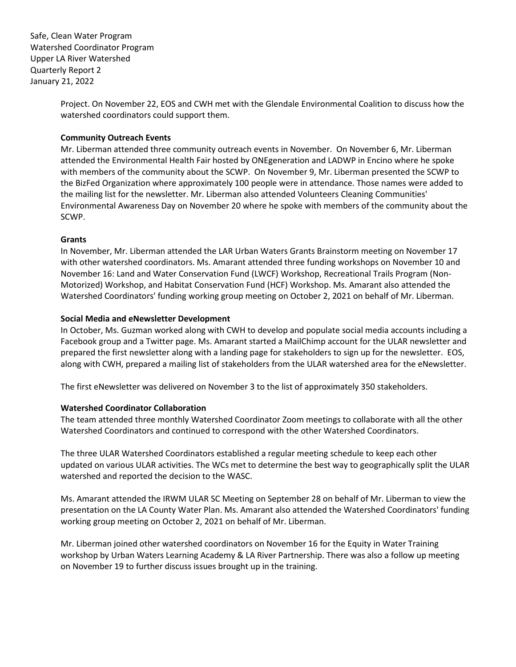> Project. On November 22, EOS and CWH met with the Glendale Environmental Coalition to discuss how the watershed coordinators could support them.

#### **Community Outreach Events**

Mr. Liberman attended three community outreach events in November. On November 6, Mr. Liberman attended the Environmental Health Fair hosted by ONEgeneration and LADWP in Encino where he spoke with members of the community about the SCWP. On November 9, Mr. Liberman presented the SCWP to the BizFed Organization where approximately 100 people were in attendance. Those names were added to the mailing list for the newsletter. Mr. Liberman also attended Volunteers Cleaning Communities' Environmental Awareness Day on November 20 where he spoke with members of the community about the SCWP.

#### **Grants**

In November, Mr. Liberman attended the LAR Urban Waters Grants Brainstorm meeting on November 17 with other watershed coordinators. Ms. Amarant attended three funding workshops on November 10 and November 16: Land and Water Conservation Fund (LWCF) Workshop, Recreational Trails Program (Non-Motorized) Workshop, and Habitat Conservation Fund (HCF) Workshop. Ms. Amarant also attended the Watershed Coordinators' funding working group meeting on October 2, 2021 on behalf of Mr. Liberman.

## **Social Media and eNewsletter Development**

In October, Ms. Guzman worked along with CWH to develop and populate social media accounts including a Facebook group and a Twitter page. Ms. Amarant started a MailChimp account for the ULAR newsletter and prepared the first newsletter along with a landing page for stakeholders to sign up for the newsletter. EOS, along with CWH, prepared a mailing list of stakeholders from the ULAR watershed area for the eNewsletter.

The first eNewsletter was delivered on November 3 to the list of approximately 350 stakeholders.

#### **Watershed Coordinator Collaboration**

The team attended three monthly Watershed Coordinator Zoom meetings to collaborate with all the other Watershed Coordinators and continued to correspond with the other Watershed Coordinators.

The three ULAR Watershed Coordinators established a regular meeting schedule to keep each other updated on various ULAR activities. The WCs met to determine the best way to geographically split the ULAR watershed and reported the decision to the WASC.

Ms. Amarant attended the IRWM ULAR SC Meeting on September 28 on behalf of Mr. Liberman to view the presentation on the LA County Water Plan. Ms. Amarant also attended the Watershed Coordinators' funding working group meeting on October 2, 2021 on behalf of Mr. Liberman.

Mr. Liberman joined other watershed coordinators on November 16 for the Equity in Water Training workshop by Urban Waters Learning Academy & LA River Partnership. There was also a follow up meeting on November 19 to further discuss issues brought up in the training.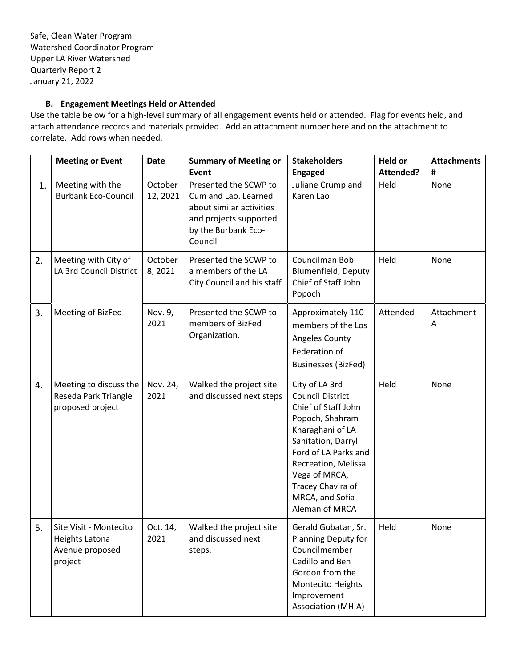# **B. Engagement Meetings Held or Attended**

Use the table below for a high-level summary of all engagement events held or attended. Flag for events held, and attach attendance records and materials provided. Add an attachment number here and on the attachment to correlate. Add rows when needed.

|    | <b>Meeting or Event</b>                                                | <b>Date</b>         | <b>Summary of Meeting or</b>                                                                                                                   | <b>Stakeholders</b>                                                                                                                                                                                                                                     | <b>Held or</b>    | <b>Attachments</b> |
|----|------------------------------------------------------------------------|---------------------|------------------------------------------------------------------------------------------------------------------------------------------------|---------------------------------------------------------------------------------------------------------------------------------------------------------------------------------------------------------------------------------------------------------|-------------------|--------------------|
| 1. | Meeting with the<br><b>Burbank Eco-Council</b>                         | October<br>12, 2021 | Event<br>Presented the SCWP to<br>Cum and Lao. Learned<br>about similar activities<br>and projects supported<br>by the Burbank Eco-<br>Council | <b>Engaged</b><br>Juliane Crump and<br>Karen Lao                                                                                                                                                                                                        | Attended?<br>Held | #<br>None          |
| 2. | Meeting with City of<br>LA 3rd Council District                        | October<br>8,2021   | Presented the SCWP to<br>a members of the LA<br>City Council and his staff                                                                     | Councilman Bob<br><b>Blumenfield, Deputy</b><br>Chief of Staff John<br>Popoch                                                                                                                                                                           | Held              | None               |
| 3. | Meeting of BizFed                                                      | Nov. 9,<br>2021     | Presented the SCWP to<br>members of BizFed<br>Organization.                                                                                    | Approximately 110<br>members of the Los<br>Angeles County<br>Federation of<br><b>Businesses (BizFed)</b>                                                                                                                                                | Attended          | Attachment<br>Α    |
| 4. | Meeting to discuss the<br>Reseda Park Triangle<br>proposed project     | Nov. 24,<br>2021    | Walked the project site<br>and discussed next steps                                                                                            | City of LA 3rd<br><b>Council District</b><br>Chief of Staff John<br>Popoch, Shahram<br>Kharaghani of LA<br>Sanitation, Darryl<br>Ford of LA Parks and<br>Recreation, Melissa<br>Vega of MRCA,<br>Tracey Chavira of<br>MRCA, and Sofia<br>Aleman of MRCA | Held              | None               |
| 5. | Site Visit - Montecito<br>Heights Latona<br>Avenue proposed<br>project | Oct. 14,<br>2021    | Walked the project site<br>and discussed next<br>steps.                                                                                        | Gerald Gubatan, Sr.<br>Planning Deputy for<br>Councilmember<br>Cedillo and Ben<br>Gordon from the<br>Montecito Heights<br>Improvement<br><b>Association (MHIA)</b>                                                                                      | Held              | None               |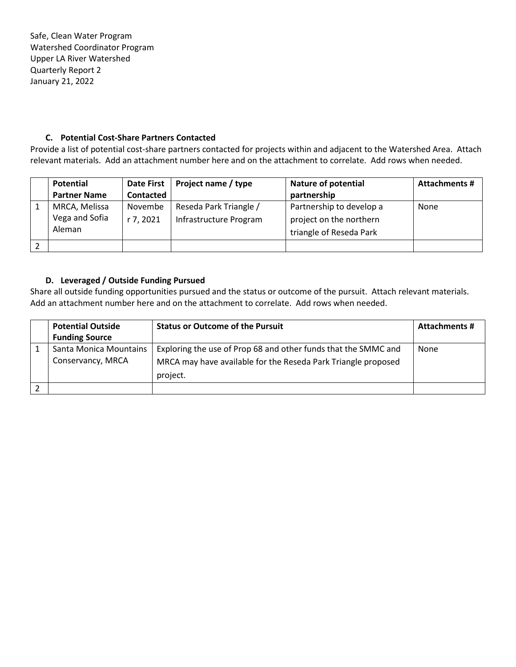## **C. Potential Cost-Share Partners Contacted**

Provide a list of potential cost-share partners contacted for projects within and adjacent to the Watershed Area. Attach relevant materials. Add an attachment number here and on the attachment to correlate. Add rows when needed.

| Potential                                 | <b>Date First</b>    | Project name / type                              | <b>Nature of potential</b>                                                     | <b>Attachments #</b> |
|-------------------------------------------|----------------------|--------------------------------------------------|--------------------------------------------------------------------------------|----------------------|
| <b>Partner Name</b>                       | Contacted            |                                                  | partnership                                                                    |                      |
| MRCA, Melissa<br>Vega and Sofia<br>Aleman | Novembe<br>r 7, 2021 | Reseda Park Triangle /<br>Infrastructure Program | Partnership to develop a<br>project on the northern<br>triangle of Reseda Park | None                 |
|                                           |                      |                                                  |                                                                                |                      |

## **D. Leveraged / Outside Funding Pursued**

Share all outside funding opportunities pursued and the status or outcome of the pursuit. Attach relevant materials. Add an attachment number here and on the attachment to correlate. Add rows when needed.

| <b>Potential Outside</b><br><b>Funding Source</b> | <b>Status or Outcome of the Pursuit</b>                                                                                                     | <b>Attachments #</b> |
|---------------------------------------------------|---------------------------------------------------------------------------------------------------------------------------------------------|----------------------|
| Santa Monica Mountains<br>Conservancy, MRCA       | Exploring the use of Prop 68 and other funds that the SMMC and<br>MRCA may have available for the Reseda Park Triangle proposed<br>project. | None                 |
|                                                   |                                                                                                                                             |                      |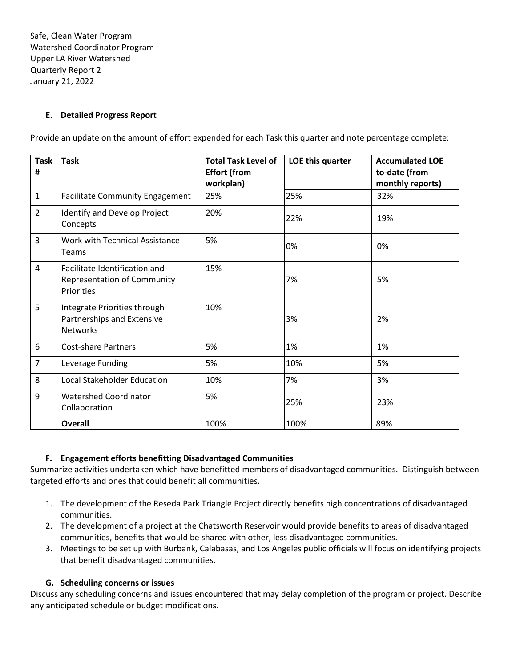# **E. Detailed Progress Report**

Provide an update on the amount of effort expended for each Task this quarter and note percentage complete:

| <b>Task</b><br># | <b>Task</b>                                                                       | <b>Total Task Level of</b><br><b>Effort (from</b><br>workplan) | LOE this quarter | <b>Accumulated LOE</b><br>to-date (from<br>monthly reports) |
|------------------|-----------------------------------------------------------------------------------|----------------------------------------------------------------|------------------|-------------------------------------------------------------|
| $\mathbf 1$      | <b>Facilitate Community Engagement</b>                                            | 25%                                                            | 25%              | 32%                                                         |
| $\overline{2}$   | Identify and Develop Project<br>Concepts                                          | 20%                                                            | 22%              | 19%                                                         |
| 3                | <b>Work with Technical Assistance</b><br><b>Teams</b>                             | 5%                                                             | 0%               | 0%                                                          |
| 4                | Facilitate Identification and<br><b>Representation of Community</b><br>Priorities | 15%                                                            | 7%               | 5%                                                          |
| 5                | Integrate Priorities through<br>Partnerships and Extensive<br><b>Networks</b>     | 10%                                                            | 3%               | 2%                                                          |
| 6                | <b>Cost-share Partners</b>                                                        | 5%                                                             | 1%               | 1%                                                          |
| $\overline{7}$   | Leverage Funding                                                                  | 5%                                                             | 10%              | 5%                                                          |
| 8                | <b>Local Stakeholder Education</b>                                                | 10%                                                            | 7%               | 3%                                                          |
| 9                | <b>Watershed Coordinator</b><br>Collaboration                                     | 5%                                                             | 25%              | 23%                                                         |
|                  | <b>Overall</b>                                                                    | 100%                                                           | 100%             | 89%                                                         |

#### **F. Engagement efforts benefitting Disadvantaged Communities**

Summarize activities undertaken which have benefitted members of disadvantaged communities. Distinguish between targeted efforts and ones that could benefit all communities.

- 1. The development of the Reseda Park Triangle Project directly benefits high concentrations of disadvantaged communities.
- 2. The development of a project at the Chatsworth Reservoir would provide benefits to areas of disadvantaged communities, benefits that would be shared with other, less disadvantaged communities.
- 3. Meetings to be set up with Burbank, Calabasas, and Los Angeles public officials will focus on identifying projects that benefit disadvantaged communities.

#### **G. Scheduling concerns or issues**

Discuss any scheduling concerns and issues encountered that may delay completion of the program or project. Describe any anticipated schedule or budget modifications.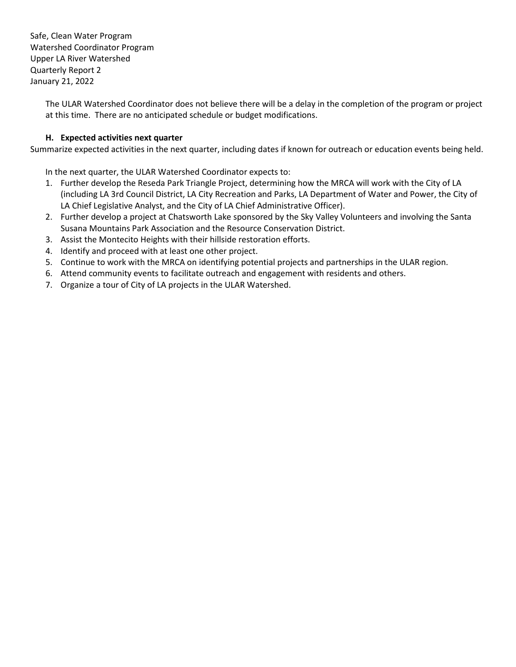> The ULAR Watershed Coordinator does not believe there will be a delay in the completion of the program or project at this time. There are no anticipated schedule or budget modifications.

# **H. Expected activities next quarter**

Summarize expected activities in the next quarter, including dates if known for outreach or education events being held.

In the next quarter, the ULAR Watershed Coordinator expects to:

- 1. Further develop the Reseda Park Triangle Project, determining how the MRCA will work with the City of LA (including LA 3rd Council District, LA City Recreation and Parks, LA Department of Water and Power, the City of LA Chief Legislative Analyst, and the City of LA Chief Administrative Officer).
- 2. Further develop a project at Chatsworth Lake sponsored by the Sky Valley Volunteers and involving the Santa Susana Mountains Park Association and the Resource Conservation District.
- 3. Assist the Montecito Heights with their hillside restoration efforts.
- 4. Identify and proceed with at least one other project.
- 5. Continue to work with the MRCA on identifying potential projects and partnerships in the ULAR region.
- 6. Attend community events to facilitate outreach and engagement with residents and others.
- 7. Organize a tour of City of LA projects in the ULAR Watershed.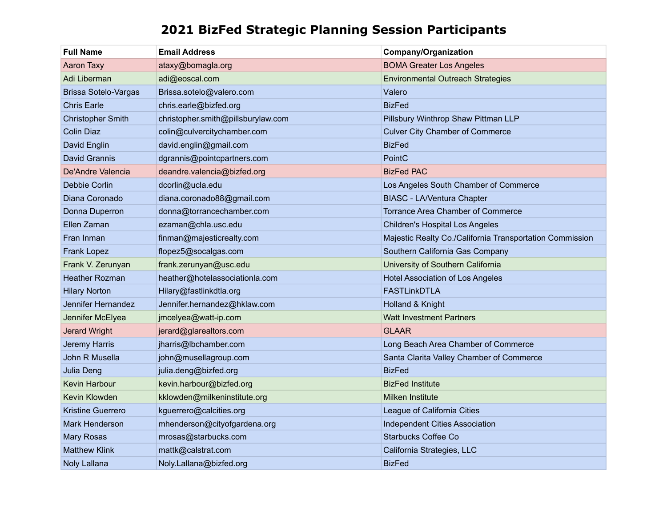# **2021 BizFed Strategic Planning Session Participants**

| <b>Full Name</b>            | <b>Email Address</b>               | <b>Company/Organization</b>                              |
|-----------------------------|------------------------------------|----------------------------------------------------------|
| Aaron Taxy                  | ataxy@bomagla.org                  | <b>BOMA Greater Los Angeles</b>                          |
| Adi Liberman                | adi@eoscal.com                     | <b>Environmental Outreach Strategies</b>                 |
| <b>Brissa Sotelo-Vargas</b> | Brissa.sotelo@valero.com           | Valero                                                   |
| <b>Chris Earle</b>          | chris.earle@bizfed.org             | <b>BizFed</b>                                            |
| <b>Christopher Smith</b>    | christopher.smith@pillsburylaw.com | Pillsbury Winthrop Shaw Pittman LLP                      |
| <b>Colin Diaz</b>           | colin@culvercitychamber.com        | <b>Culver City Chamber of Commerce</b>                   |
| David Englin                | david.englin@gmail.com             | <b>BizFed</b>                                            |
| David Grannis               | dgrannis@pointcpartners.com        | PointC                                                   |
| De'Andre Valencia           | deandre.valencia@bizfed.org        | <b>BizFed PAC</b>                                        |
| Debbie Corlin               | dcorlin@ucla.edu                   | Los Angeles South Chamber of Commerce                    |
| Diana Coronado              | diana.coronado88@gmail.com         | <b>BIASC - LA/Ventura Chapter</b>                        |
| Donna Duperron              | donna@torrancechamber.com          | Torrance Area Chamber of Commerce                        |
| Ellen Zaman                 | ezaman@chla.usc.edu                | <b>Children's Hospital Los Angeles</b>                   |
| Fran Inman                  | finman@majesticrealty.com          | Majestic Realty Co./California Transportation Commission |
| <b>Frank Lopez</b>          | flopez5@socalgas.com               | Southern California Gas Company                          |
| Frank V. Zerunyan           | frank.zerunyan@usc.edu             | University of Southern California                        |
| <b>Heather Rozman</b>       | heather@hotelassociationla.com     | <b>Hotel Association of Los Angeles</b>                  |
| <b>Hilary Norton</b>        | Hilary@fastlinkdtla.org            | <b>FASTLinkDTLA</b>                                      |
| Jennifer Hernandez          | Jennifer.hernandez@hklaw.com       | Holland & Knight                                         |
| Jennifer McElyea            | jmcelyea@watt-ip.com               | <b>Watt Investment Partners</b>                          |
| <b>Jerard Wright</b>        | jerard@glarealtors.com             | <b>GLAAR</b>                                             |
| Jeremy Harris               | jharris@lbchamber.com              | Long Beach Area Chamber of Commerce                      |
| John R Musella              | john@musellagroup.com              | Santa Clarita Valley Chamber of Commerce                 |
| Julia Deng                  | julia.deng@bizfed.org              | <b>BizFed</b>                                            |
| Kevin Harbour               | kevin.harbour@bizfed.org           | <b>BizFed Institute</b>                                  |
| Kevin Klowden               | kklowden@milkeninstitute.org       | <b>Milken Institute</b>                                  |
| <b>Kristine Guerrero</b>    | kguerrero@calcities.org            | League of California Cities                              |
| <b>Mark Henderson</b>       | mhenderson@cityofgardena.org       | <b>Independent Cities Association</b>                    |
| <b>Mary Rosas</b>           | mrosas@starbucks.com               | <b>Starbucks Coffee Co</b>                               |
| <b>Matthew Klink</b>        | mattk@calstrat.com                 | California Strategies, LLC                               |
| Noly Lallana                | Noly.Lallana@bizfed.org            | <b>BizFed</b>                                            |